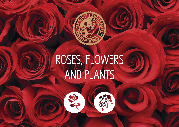# ROSES, FLOWERS AND PLANTS



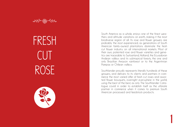FRESH **CUT** ROSE



South America as a whole, enjoys one of the finest weathers and altitude variations on earth, making it the most biodiverse region of all. Its rose and flower growers are probably the most experienced, as generations of South American family-owned plantations dominate the fresh cut flower industry on all international markets. Most of their own, patented rose and flower varieties and genetics are traceable to Switzerland, Holland, the Ecuadoran Andean valleys and its subtropical forests, the one and only Brazilian Amazon rainforest or to the Argentinian Pampas or Chilean valleys.

Southlander proudly represents literally hundreds of these growers, and delivers to its clients and partners in commerce the most varied offer of fresh cut roses and assorted flower bouquets, overnight everywhere in the world, using the best of the best, as only The Southlander Catalogue could in order to establish itself as the ultimate partner in commerce when it comes to premium South American processed and feedstock products.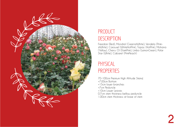

#### PRODUCT **DESCRIPTION**

Freedom (Red), Mondial (GreenishWhite), Vendela (PinkishWhite), Carousel (WhiteHotPink), Topaz (HotPink), Mohana (Yellow), Cherry O! (DarkPink), Limbo (LemonGreen), Polar Star (White), Cabaret (PinkPeach)

#### PHYSICAL PROPERTIES

- 70-100cm Premium High Altitude Stems|
- +7.00cm Bottom
- +15cm lower branches
- +7cm Peduncle
- +10cm Lower Leaves
- 0.7cm stem thickness bellow peduncle
- 1.00cm stem thickness at base of stem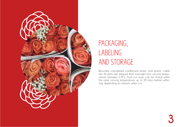

### PACKAGING, LABELING AND STORAGE

Recycled corrugated cardboard boxes and plastic cable ties. All stems are shipped fresh overnight from varying temperatures between 2-8ºc. Fresh-cut roses can be stored within the same varying temperatures up to 28 days before withering depending on maturity when cut.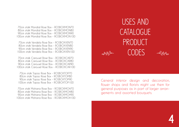70cm stalk Mondial Rose Box - ROSBOXMON70 80cm stalk Mondial Rose Box - ROSBOXMON80 90cm stalk Mondial Rose Box - ROSBOXMON90 100cm stalk Mondial Rose Box - ROSBOXMON100

70cm stalk Vendela Rose Box - ROSBOXVEN70 80cm stalk Vendela Rose Box - ROSBOXVEN80 90cm stalk Vendela Rose Box - ROSBOXVEN90 100cm stalk Vendela Rose Box - ROSBOXVEN100

70cm stalk Carousel Rose Box - ROSBOXCAR70 80cm stalk Carousel Rose Box - ROSBOXCAR80 90cm stalk Carousel Rose Box - ROSBOXCAR90 100cm stalk Carousel Rose Box - ROSBOXCAR100

70cm stalk Topaz Rose Box - ROSBOXTOP70 80cm stalk Topaz Rose Box - ROSBOXTOP80 90cm stalk Topaz Rose Box - ROSBOXTOP90 100cm stalk Topaz Rose Box - ROSBOXTOP100

70cm stalk Mohana Rose Box - ROSBOXMOH70 80cm stalk Mohana Rose Box - ROSBOXMOH80 90cm stalk Mohana Rose Box - ROSBOXMOH90 100cm stalk Mohana Rose Box - ROSBOXMOH100

USES AND CATALOGUE PRODUCT CODES

General interior design and decoration, flower shops and florists might use them for general purposes as in part of larger arrangements and assorted bouquets.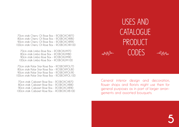70cm stalk Cherry O! Rose Box - ROSBOXCHR70 80cm stalk Cherry O! Rose Box - ROSBOXCHR80 90cm stalk Cherry O! Rose Box - ROSBOXCHR90 100cm stalk Cherry O! Rose Box - ROSBOXCHR100

70cm stalk Limbo Rose Box - ROSBOXLIM70 80cm stalk Limbo Rose Box - ROSBOXLIM80 90cm stalk Limbo Rose Box - ROSBOXLIM90 100cm stalk Limbo Rose Box - ROSBOXLIM100

70cm stalk Polar Star Rose Box - ROSBOXPOL70 80cm stalk Polar Star Rose Box - ROSBOXPOL80 90cm stalk Polar Star Rose Box - ROSBOXPOL90 100cm stalk Polar Star Rose Box - ROSBOXPOL100

70cm stalk Cabaret Rose Box - ROSBOXCAB70 80cm stalk Cabaret Rose Box - ROSBOXCAB80 90cm stalk Cabaret Rose Box - ROSBOXCAB90 100cm stalk Cabaret Rose Box - ROSBOXCAB100

USES AND CATALOGUE PRODUCT CODES

General interior design and decoration, flower shops and florists might use them for general purposes as in part of larger arrangements and assorted bouquets.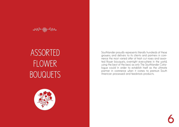$\frac{1}{\sqrt{2}}$ 

### ASSORTED **FLOWER BOUQUETS**



Southlander proudly represents literally hundreds of these growers, and delivers to its clients and partners in commerce the most varied offer of fresh cut roses and assorted flower bouquets, overnight everywhere in the world, using the best of the best, as only The Southlander Catalogue could in order to establish itself as the ultimate partner in commerce when it comes to premium South American processed and feedstock products.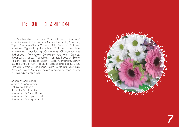### PRODUCT DESCRIPTION

The Southlander Catalogue "Assorted Flower Bouquets" contain: Roses in its Freedom, Mondial, Vendela, Carousel, Topaz, Mohana, Cherry O, Limbo, Polar Star and Cabaret varieties; Gypsophila; Lisianthus; Gerbera; Molucellas; Alstromerias; Laceflowers; Carnations; Chrysanthemums; Hydrangeas; Ranunculus; Sunflowers; Anemone; Orchids; Hypericum; Statice; Trachelium; Dianthus; Larkspur; Exotic Flowers; Fillers; Follages; Blooms; Spray Carnations; Spray Roses; Bamboo; Palms; Tropical Follages and Blooms; Lilies; Limonium; Asters … and many more. Customize your own Assorted Flower Bouquets before ordering or choose from our already curated offer:

Spring by Southlander Summer by Southlander Fall by Southlander Winter by Southlander Southlander 's Brides Dream Southlander's Tropical Fiesta Southlander 's Pampa and Hay

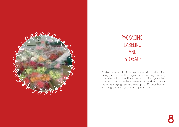

### PACKAGING, LABELING AND STORAGE

Biodegradable plastic flower sleeve, with custom size, design, colors and/or logos for extra large orders, otherwise with Julio's Finest branded biodegradable standard sleeve. Fresh-cut roses can be stored within the same varying temperatures up to 28 days before withering depending on maturity when cut.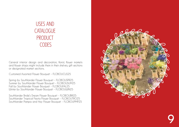### USES AND **CATALOGUE** PRODUCT CODES

General interior design and decoration, florist, flower markets and flower shops might include them in their shelves, gift sections or designated market sections.

Customed Assorted Flower Bouquet - FLOBOUCUS25

Spring by Southlander Flower Bouquet - FLOBOUSPR25 Summer by Southlander Flower Bouquet - FLOBOUSUM25 Fall by Southlander Flower Bouquet - FLOBOUFAL25 Winter by Southlander Flower Bouquet - FLOBOUWIN25

Southlander Bride's Dream Flower Bouquet - FLOBOUBRI25 Southlander Tropical Fiesta Flower Bouquet - FLOBOUTRO25 Southlander Pampa and Hay Flower Bouquet - FLOBOUPMP25